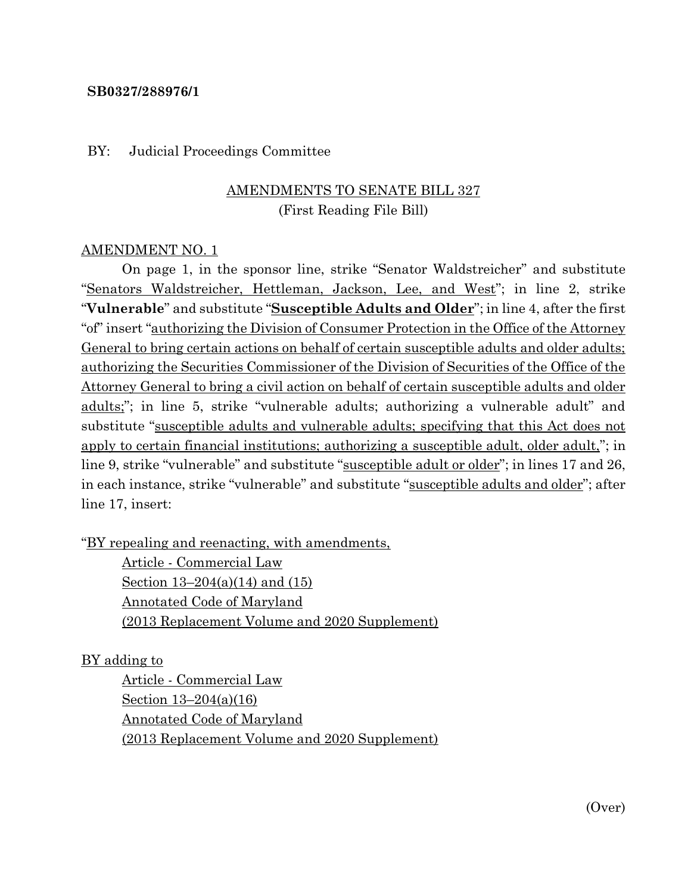#### **SB0327/288976/1**

#### BY: Judicial Proceedings Committee

### AMENDMENTS TO SENATE BILL 327 (First Reading File Bill)

#### AMENDMENT NO. 1

On page 1, in the sponsor line, strike "Senator Waldstreicher" and substitute "Senators Waldstreicher, Hettleman, Jackson, Lee, and West"; in line 2, strike "**Vulnerable**" and substitute "**Susceptible Adults and Older**"; in line 4, after the first "of" insert "authorizing the Division of Consumer Protection in the Office of the Attorney General to bring certain actions on behalf of certain susceptible adults and older adults; authorizing the Securities Commissioner of the Division of Securities of the Office of the Attorney General to bring a civil action on behalf of certain susceptible adults and older adults;"; in line 5, strike "vulnerable adults; authorizing a vulnerable adult" and substitute "susceptible adults and vulnerable adults; specifying that this Act does not apply to certain financial institutions; authorizing a susceptible adult, older adult,"; in line 9, strike "vulnerable" and substitute "susceptible adult or older"; in lines 17 and 26, in each instance, strike "vulnerable" and substitute "susceptible adults and older"; after line 17, insert:

"BY repealing and reenacting, with amendments,

Article - Commercial Law Section 13–204(a)(14) and (15) Annotated Code of Maryland (2013 Replacement Volume and 2020 Supplement)

### BY adding to

Article - Commercial Law Section 13–204(a)(16) Annotated Code of Maryland (2013 Replacement Volume and 2020 Supplement)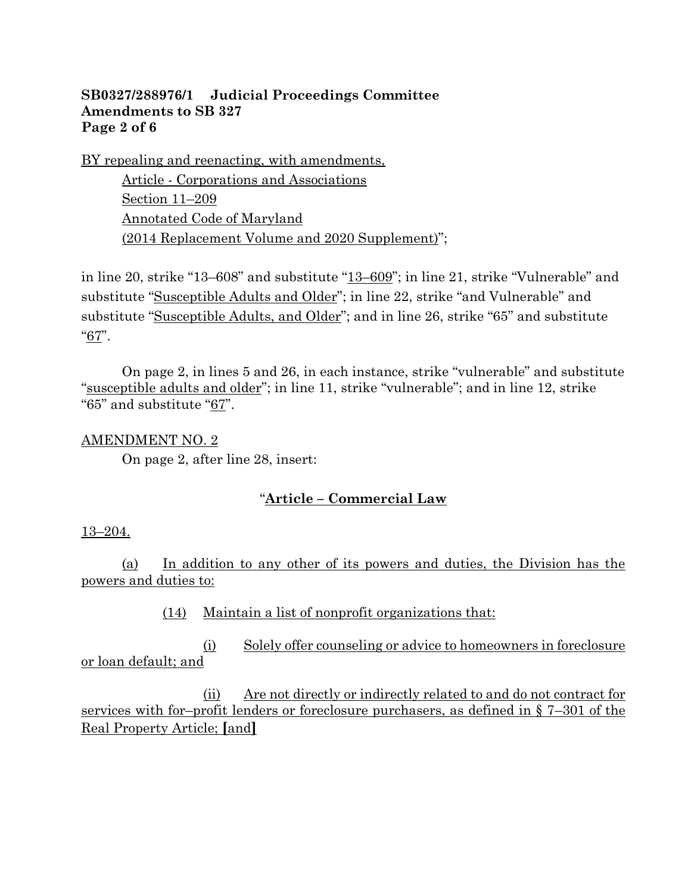### **SB0327/288976/1 Judicial Proceedings Committee Amendments to SB 327 Page 2 of 6**

BY repealing and reenacting, with amendments,

Article - Corporations and Associations Section 11–209 Annotated Code of Maryland (2014 Replacement Volume and 2020 Supplement)";

in line 20, strike "13–608" and substitute "13–609"; in line 21, strike "Vulnerable" and substitute "Susceptible Adults and Older"; in line 22, strike "and Vulnerable" and substitute "Susceptible Adults, and Older"; and in line 26, strike "65" and substitute "67".

On page 2, in lines 5 and 26, in each instance, strike "vulnerable" and substitute "susceptible adults and older"; in line 11, strike "vulnerable"; and in line 12, strike "65" and substitute "67".

### AMENDMENT NO. 2

On page 2, after line 28, insert:

### "**Article – Commercial Law**

### 13–204.

(a) In addition to any other of its powers and duties, the Division has the powers and duties to:

(14) Maintain a list of nonprofit organizations that:

(i) Solely offer counseling or advice to homeowners in foreclosure or loan default; and

(ii) Are not directly or indirectly related to and do not contract for services with for–profit lenders or foreclosure purchasers, as defined in § 7–301 of the Real Property Article; **[**and**]**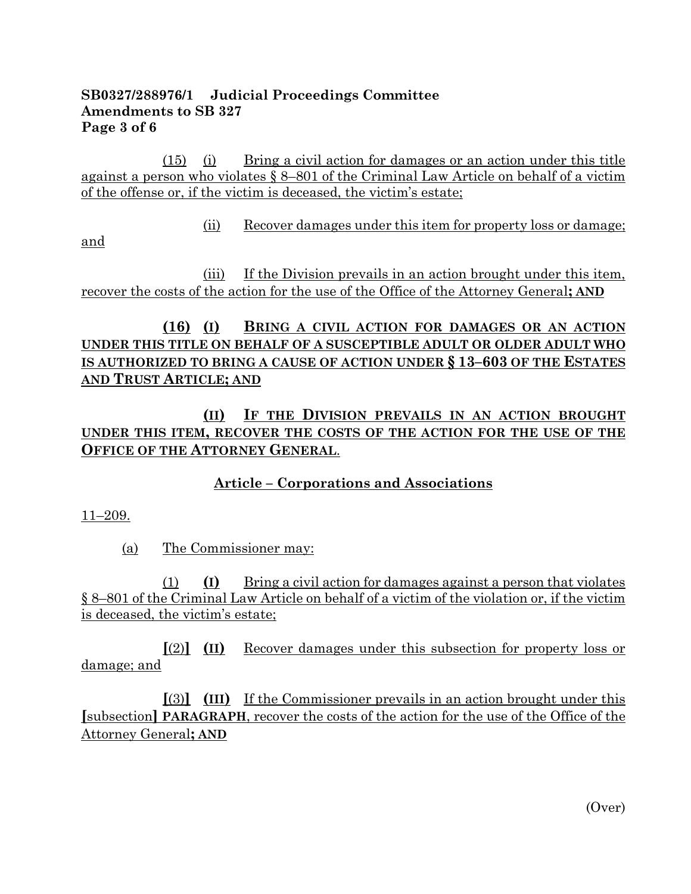### **SB0327/288976/1 Judicial Proceedings Committee Amendments to SB 327 Page 3 of 6**

(15) (i) Bring a civil action for damages or an action under this title against a person who violates § 8–801 of the Criminal Law Article on behalf of a victim of the offense or, if the victim is deceased, the victim's estate;

(ii) Recover damages under this item for property loss or damage;

and

(iii) If the Division prevails in an action brought under this item, recover the costs of the action for the use of the Office of the Attorney General**; AND**

# **(16) (I) BRING A CIVIL ACTION FOR DAMAGES OR AN ACTION UNDER THIS TITLE ON BEHALF OF A SUSCEPTIBLE ADULT OR OLDER ADULT WHO IS AUTHORIZED TO BRING A CAUSE OF ACTION UNDER § 13–603 OF THE ESTATES AND TRUST ARTICLE; AND**

**(II) IF THE DIVISION PREVAILS IN AN ACTION BROUGHT UNDER THIS ITEM, RECOVER THE COSTS OF THE ACTION FOR THE USE OF THE OFFICE OF THE ATTORNEY GENERAL**.

**Article – Corporations and Associations**

11–209.

(a) The Commissioner may:

(1) **(I)** Bring a civil action for damages against a person that violates § 8–801 of the Criminal Law Article on behalf of a victim of the violation or, if the victim is deceased, the victim's estate;

**[**(2)**] (II)** Recover damages under this subsection for property loss or damage; and

**[**(3)**] (III)** If the Commissioner prevails in an action brought under this **[**subsection**] PARAGRAPH**, recover the costs of the action for the use of the Office of the Attorney General**; AND**

(Over)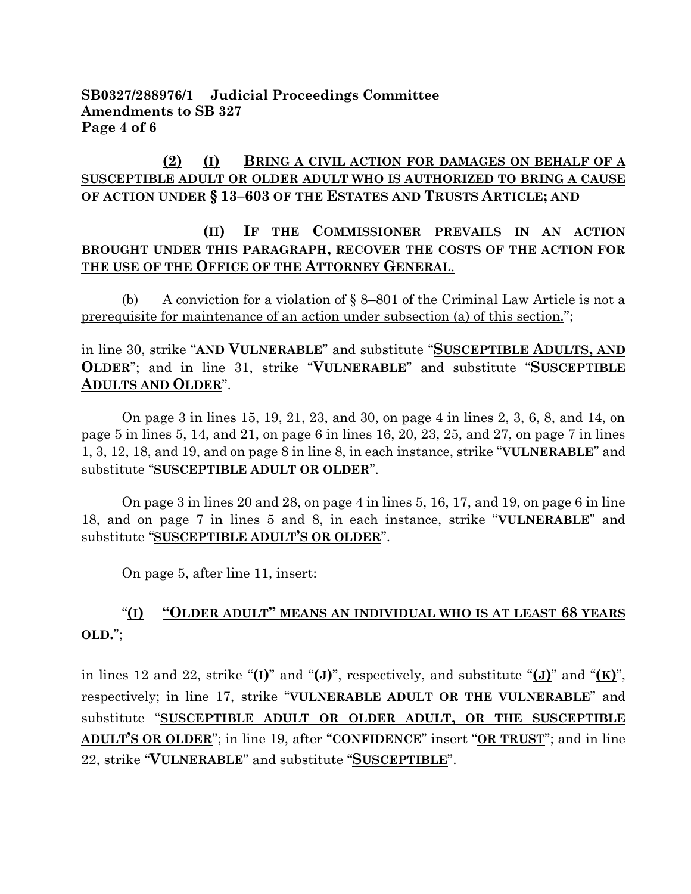**SB0327/288976/1 Judicial Proceedings Committee Amendments to SB 327 Page 4 of 6**

### **(2) (I) BRING A CIVIL ACTION FOR DAMAGES ON BEHALF OF A SUSCEPTIBLE ADULT OR OLDER ADULT WHO IS AUTHORIZED TO BRING A CAUSE OF ACTION UNDER § 13–603 OF THE ESTATES AND TRUSTS ARTICLE; AND**

### **(II) IF THE COMMISSIONER PREVAILS IN AN ACTION BROUGHT UNDER THIS PARAGRAPH, RECOVER THE COSTS OF THE ACTION FOR THE USE OF THE OFFICE OF THE ATTORNEY GENERAL**.

(b) A conviction for a violation of § 8–801 of the Criminal Law Article is not a prerequisite for maintenance of an action under subsection (a) of this section.";

### in line 30, strike "**AND VULNERABLE**" and substitute "**SUSCEPTIBLE ADULTS, AND OLDER**"; and in line 31, strike "**VULNERABLE**" and substitute "**SUSCEPTIBLE ADULTS AND OLDER**".

On page 3 in lines 15, 19, 21, 23, and 30, on page 4 in lines 2, 3, 6, 8, and 14, on page 5 in lines 5, 14, and 21, on page 6 in lines 16, 20, 23, 25, and 27, on page 7 in lines 1, 3, 12, 18, and 19, and on page 8 in line 8, in each instance, strike "**VULNERABLE**" and substitute "**SUSCEPTIBLE ADULT OR OLDER**".

On page 3 in lines 20 and 28, on page 4 in lines 5, 16, 17, and 19, on page 6 in line 18, and on page 7 in lines 5 and 8, in each instance, strike "**VULNERABLE**" and substitute "**SUSCEPTIBLE ADULT'S OR OLDER**".

On page 5, after line 11, insert:

# "**(I) "OLDER ADULT" MEANS AN INDIVIDUAL WHO IS AT LEAST 68 YEARS OLD.**";

in lines 12 and 22, strike "**(I)**" and "**(J)**", respectively, and substitute "**(J)**" and "**(K)**", respectively; in line 17, strike "**VULNERABLE ADULT OR THE VULNERABLE**" and substitute "**SUSCEPTIBLE ADULT OR OLDER ADULT, OR THE SUSCEPTIBLE ADULT'S OR OLDER**"; in line 19, after "**CONFIDENCE**" insert "**OR TRUST**"; and in line 22, strike "**VULNERABLE**" and substitute "**SUSCEPTIBLE**".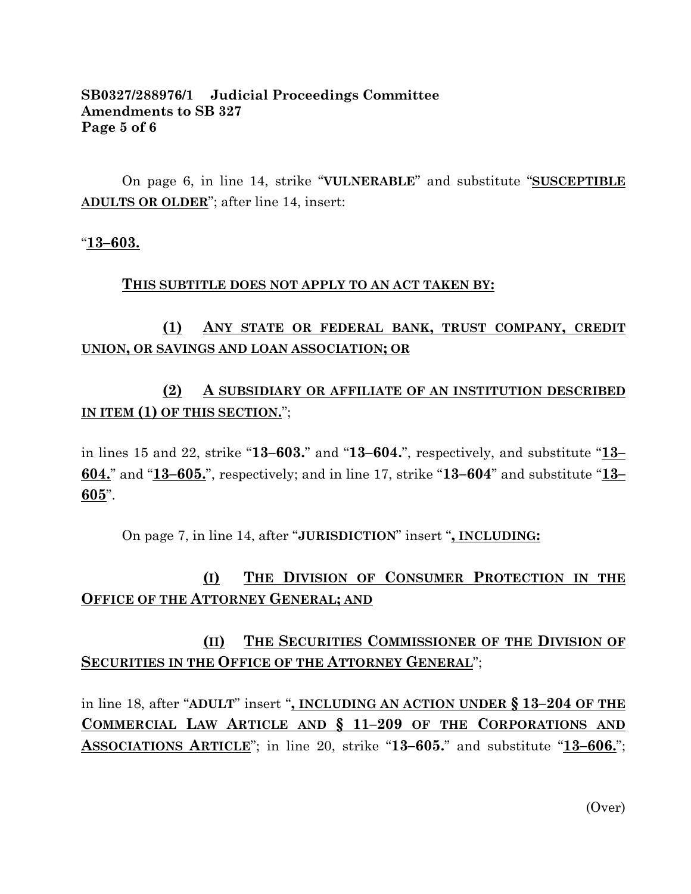### **SB0327/288976/1 Judicial Proceedings Committee Amendments to SB 327 Page 5 of 6**

On page 6, in line 14, strike "**VULNERABLE**" and substitute "**SUSCEPTIBLE ADULTS OR OLDER**"; after line 14, insert:

#### "**13–603.**

#### **THIS SUBTITLE DOES NOT APPLY TO AN ACT TAKEN BY:**

# **(1) ANY STATE OR FEDERAL BANK, TRUST COMPANY, CREDIT UNION, OR SAVINGS AND LOAN ASSOCIATION; OR**

# **(2) A SUBSIDIARY OR AFFILIATE OF AN INSTITUTION DESCRIBED IN ITEM (1) OF THIS SECTION.**";

in lines 15 and 22, strike "**13–603.**" and "**13–604.**", respectively, and substitute "**13– 604.**" and "**13–605.**", respectively; and in line 17, strike "**13–604**" and substitute "**13– 605**".

On page 7, in line 14, after "**JURISDICTION**" insert "**, INCLUDING:**

# **(I) THE DIVISION OF CONSUMER PROTECTION IN THE OFFICE OF THE ATTORNEY GENERAL; AND**

# **(II) THE SECURITIES COMMISSIONER OF THE DIVISION OF SECURITIES IN THE OFFICE OF THE ATTORNEY GENERAL**";

in line 18, after "**ADULT**" insert "**, INCLUDING AN ACTION UNDER § 13–204 OF THE COMMERCIAL LAW ARTICLE AND § 11–209 OF THE CORPORATIONS AND ASSOCIATIONS ARTICLE**"; in line 20, strike "**13–605.**" and substitute "**13–606.**";